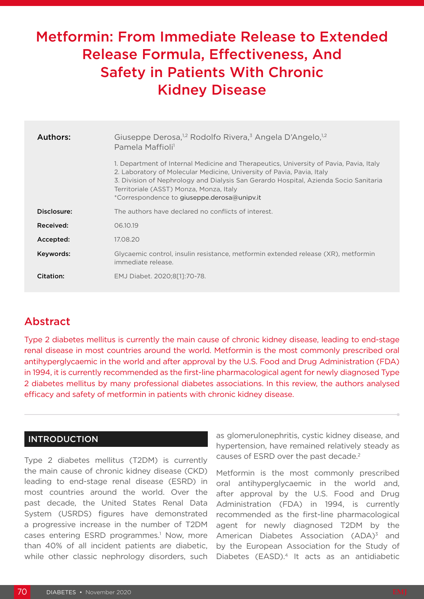# Metformin: From Immediate Release to Extended Release Formula, Effectiveness, And Safety in Patients With Chronic Kidney Disease

| Authors:    | Giuseppe Derosa, <sup>1,2</sup> Rodolfo Rivera, <sup>3</sup> Angela D'Angelo, <sup>1,2</sup><br>Pamela Maffioli <sup>1</sup>                                                                                                                                                                                                                       |  |  |
|-------------|----------------------------------------------------------------------------------------------------------------------------------------------------------------------------------------------------------------------------------------------------------------------------------------------------------------------------------------------------|--|--|
|             | 1. Department of Internal Medicine and Therapeutics, University of Pavia, Pavia, Italy<br>2. Laboratory of Molecular Medicine, University of Pavia, Pavia, Italy<br>3. Division of Nephrology and Dialysis San Gerardo Hospital, Azienda Socio Sanitaria<br>Territoriale (ASST) Monza, Monza, Italy<br>*Correspondence to giuseppe.derosa@unipv.it |  |  |
| Disclosure: | The authors have declared no conflicts of interest.                                                                                                                                                                                                                                                                                                |  |  |
| Received:   | 06.10.19                                                                                                                                                                                                                                                                                                                                           |  |  |
| Accepted:   | 17.08.20                                                                                                                                                                                                                                                                                                                                           |  |  |
| Keywords:   | Glycaemic control, insulin resistance, metformin extended release (XR), metformin<br>immediate release.                                                                                                                                                                                                                                            |  |  |
| Citation:   | EMJ Diabet. 2020;8[1]:70-78.                                                                                                                                                                                                                                                                                                                       |  |  |

# Abstract

Type 2 diabetes mellitus is currently the main cause of chronic kidney disease, leading to end-stage renal disease in most countries around the world. Metformin is the most commonly prescribed oral antihyperglycaemic in the world and after approval by the U.S. Food and Drug Administration (FDA) in 1994, it is currently recommended as the first-line pharmacological agent for newly diagnosed Type 2 diabetes mellitus by many professional diabetes associations. In this review, the authors analysed efficacy and safety of metformin in patients with chronic kidney disease.

# INTRODUCTION

Type 2 diabetes mellitus (T2DM) is currently the main cause of chronic kidney disease (CKD) leading to end-stage renal disease (ESRD) in most countries around the world. Over the past decade, the United States Renal Data System (USRDS) figures have demonstrated a progressive increase in the number of T2DM cases entering ESRD programmes.<sup>1</sup> Now, more than 40% of all incident patients are diabetic, while other classic nephrology disorders, such

as glomerulonephritis, cystic kidney disease, and hypertension, have remained relatively steady as causes of ESRD over the past decade.<sup>2</sup>

Metformin is the most commonly prescribed oral antihyperglycaemic in the world and, after approval by the U.S. Food and Drug Administration (FDA) in 1994, is currently recommended as the first-line pharmacological agent for newly diagnosed T2DM by the American Diabetes Association  $(ADA)^3$  and by the European Association for the Study of Diabetes (EASD).<sup>4</sup> It acts as an antidiabetic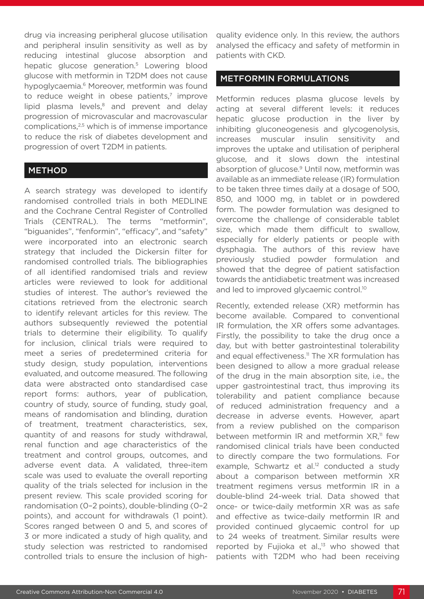drug via increasing peripheral glucose utilisation and peripheral insulin sensitivity as well as by reducing intestinal glucose absorption and hepatic glucose generation.<sup>5</sup> Lowering blood glucose with metformin in T2DM does not cause hypoglycaemia.<sup>6</sup> Moreover, metformin was found to reduce weight in obese patients, $7 \text{ improve}$ lipid plasma levels, $8$  and prevent and delay progression of microvascular and macrovascular complications,<sup>2,5</sup> which is of immense importance to reduce the risk of diabetes development and progression of overt T2DM in patients.

#### METHOD

A search strategy was developed to identify randomised controlled trials in both MEDLINE and the Cochrane Central Register of Controlled Trials (CENTRAL). The terms "metformin", "biguanides", "fenformin", "efficacy", and "safety" were incorporated into an electronic search strategy that included the Dickersin filter for randomised controlled trials. The bibliographies of all identified randomised trials and review articles were reviewed to look for additional studies of interest. The author's reviewed the citations retrieved from the electronic search to identify relevant articles for this review. The authors subsequently reviewed the potential trials to determine their eligibility. To qualify for inclusion, clinical trials were required to meet a series of predetermined criteria for study design, study population, interventions evaluated, and outcome measured. The following data were abstracted onto standardised case report forms: authors, year of publication, country of study, source of funding, study goal, means of randomisation and blinding, duration of treatment, treatment characteristics, sex, quantity of and reasons for study withdrawal, renal function and age characteristics of the treatment and control groups, outcomes, and adverse event data. A validated, three-item scale was used to evaluate the overall reporting quality of the trials selected for inclusion in the present review. This scale provided scoring for randomisation (0–2 points), double-blinding (0–2 points), and account for withdrawals (1 point). Scores ranged between 0 and 5, and scores of 3 or more indicated a study of high quality, and study selection was restricted to randomised controlled trials to ensure the inclusion of high-

quality evidence only. In this review, the authors analysed the efficacy and safety of metformin in patients with CKD.

### METFORMIN FORMULATIONS

Metformin reduces plasma glucose levels by acting at several different levels: it reduces hepatic glucose production in the liver by inhibiting gluconeogenesis and glycogenolysis, increases muscular insulin sensitivity and improves the uptake and utilisation of peripheral glucose, and it slows down the intestinal absorption of glucose.<sup>9</sup> Until now, metformin was available as an immediate release (IR) formulation to be taken three times daily at a dosage of 500, 850, and 1000 mg, in tablet or in powdered form. The powder formulation was designed to overcome the challenge of considerable tablet size, which made them difficult to swallow, especially for elderly patients or people with dysphagia. The authors of this review have previously studied powder formulation and showed that the degree of patient satisfaction towards the antidiabetic treatment was increased and led to improved glycaemic control.<sup>10</sup>

Recently, extended release (XR) metformin has become available. Compared to conventional IR formulation, the XR offers some advantages. Firstly, the possibility to take the drug once a day, but with better gastrointestinal tolerability and equal effectiveness.<sup>11</sup> The XR formulation has been designed to allow a more gradual release of the drug in the main absorption site, i.e., the upper gastrointestinal tract, thus improving its tolerability and patient compliance because of reduced administration frequency and a decrease in adverse events. However, apart from a review published on the comparison between metformin IR and metformin  $XR$ <sup>11</sup> few randomised clinical trials have been conducted to directly compare the two formulations. For example, Schwartz et al.<sup>12</sup> conducted a study about a comparison between metformin XR treatment regimens versus metformin IR in a double-blind 24-week trial. Data showed that once- or twice-daily metformin XR was as safe and effective as twice-daily metformin IR and provided continued glycaemic control for up to 24 weeks of treatment. Similar results were reported by Fujioka et al.,<sup>13</sup> who showed that patients with T2DM who had been receiving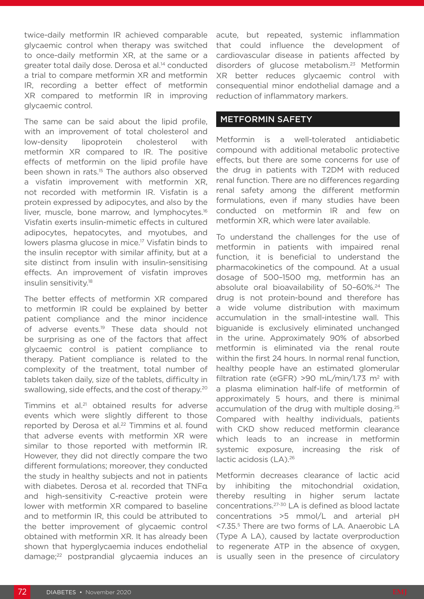twice-daily metformin IR achieved comparable glycaemic control when therapy was switched to once-daily metformin XR, at the same or a greater total daily dose. Derosa et al.<sup>14</sup> conducted a trial to compare metformin XR and metformin IR, recording a better effect of metformin XR compared to metformin IR in improving glycaemic control.

The same can be said about the lipid profile. with an improvement of total cholesterol and low-density lipoprotein cholesterol with metformin XR compared to IR. The positive effects of metformin on the lipid profile have been shown in rats.<sup>15</sup> The authors also observed a visfatin improvement with metformin XR, not recorded with metformin IR. Visfatin is a protein expressed by adipocytes, and also by the liver, muscle, bone marrow, and lymphocytes.<sup>16</sup> Visfatin exerts insulin-mimetic effects in cultured adipocytes, hepatocytes, and myotubes, and lowers plasma glucose in mice.17 Visfatin binds to the insulin receptor with similar affinity, but at a site distinct from insulin with insulin-sensitising effects. An improvement of visfatin improves insulin sensitivity.18

The better effects of metformin XR compared to metformin IR could be explained by better patient compliance and the minor incidence of adverse events.<sup>19</sup> These data should not be surprising as one of the factors that affect glycaemic control is patient compliance to therapy. Patient compliance is related to the complexity of the treatment, total number of tablets taken daily, size of the tablets, difficulty in swallowing, side effects, and the cost of therapy.<sup>20</sup>

Timmins et al.<sup>21</sup> obtained results for adverse events which were slightly different to those reported by Derosa et al.<sup>22</sup> Timmins et al. found that adverse events with metformin XR were similar to those reported with metformin IR. However, they did not directly compare the two different formulations; moreover, they conducted the study in healthy subjects and not in patients with diabetes. Derosa et al. recorded that TNFα and high-sensitivity C-reactive protein were lower with metformin XR compared to baseline and to metformin IR, this could be attributed to the better improvement of glycaemic control obtained with metformin XR. It has already been shown that hyperglycaemia induces endothelial damage;22 postprandial glycaemia induces an

acute, but repeated, systemic inflammation that could influence the development of cardiovascular disease in patients affected by disorders of glucose metabolism.23 Metformin XR better reduces glycaemic control with consequential minor endothelial damage and a reduction of inflammatory markers.

### METFORMIN SAFETY

Metformin is a well-tolerated antidiabetic compound with additional metabolic protective effects, but there are some concerns for use of the drug in patients with T2DM with reduced renal function. There are no differences regarding renal safety among the different metformin formulations, even if many studies have been conducted on metformin IR and few on metformin XR, which were later available.

To understand the challenges for the use of metformin in patients with impaired renal function, it is beneficial to understand the pharmacokinetics of the compound. At a usual dosage of 500–1500 mg, metformin has an absolute oral bioavailability of 50-60%.<sup>24</sup> The drug is not protein-bound and therefore has a wide volume distribution with maximum accumulation in the small-intestine wall. This biguanide is exclusively eliminated unchanged in the urine. Approximately 90% of absorbed metformin is eliminated via the renal route within the first 24 hours. In normal renal function, healthy people have an estimated glomerular filtration rate (eGFR) >90 mL/min/1.73 m<sup>2</sup> with a plasma elimination half-life of metformin of approximately 5 hours, and there is minimal accumulation of the drug with multiple dosing.25 Compared with healthy individuals, patients with CKD show reduced metformin clearance which leads to an increase in metformin systemic exposure, increasing the risk of lactic acidosis (LA).<sup>26</sup>

Metformin decreases clearance of lactic acid by inhibiting the mitochondrial oxidation, thereby resulting in higher serum lactate concentrations.27-30 LA is defined as blood lactate concentrations >5 mmol/L and arterial pH <7.35.5 There are two forms of LA. Anaerobic LA (Type A LA), caused by lactate overproduction to regenerate ATP in the absence of oxygen, is usually seen in the presence of circulatory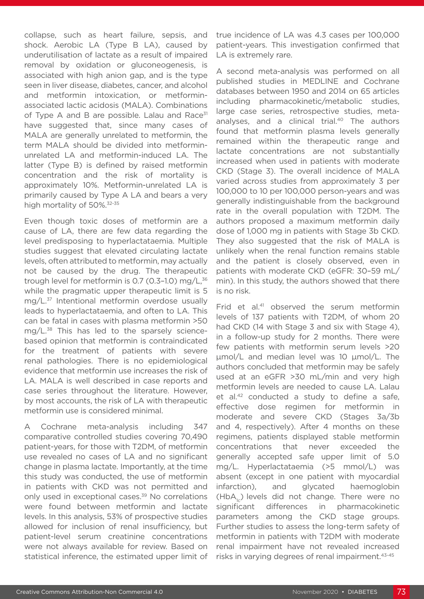collapse, such as heart failure, sepsis, and shock. Aerobic LA (Type B LA), caused by underutilisation of lactate as a result of impaired removal by oxidation or gluconeogenesis, is associated with high anion gap, and is the type seen in liver disease, diabetes, cancer, and alcohol and metformin intoxication, or metforminassociated lactic acidosis (MALA). Combinations of Type A and B are possible. Lalau and Race<sup>31</sup> have suggested that, since many cases of MALA are generally unrelated to metformin, the term MALA should be divided into metforminunrelated LA and metformin-induced LA. The latter (Type B) is defined by raised metformin concentration and the risk of mortality is approximately 10%. Metformin-unrelated LA is primarily caused by Type A LA and bears a very high mortality of 50%.<sup>32-35</sup>

Even though toxic doses of metformin are a cause of LA, there are few data regarding the level predisposing to hyperlactataemia. Multiple studies suggest that elevated circulating lactate levels, often attributed to metformin, may actually not be caused by the drug. The therapeutic trough level for metformin is 0.7 (0.3-1.0) mg/ $L<sup>36</sup>$ while the pragmatic upper therapeutic limit is 5 mg/L.37 Intentional metformin overdose usually leads to hyperlactataemia, and often to LA. This can be fatal in cases with plasma metformin >50 mg/L.38 This has led to the sparsely sciencebased opinion that metformin is contraindicated for the treatment of patients with severe renal pathologies. There is no epidemiological evidence that metformin use increases the risk of LA. MALA is well described in case reports and case series throughout the literature. However, by most accounts, the risk of LA with therapeutic metformin use is considered minimal.

A Cochrane meta-analysis including 347 comparative controlled studies covering 70,490 patient-years, for those with T2DM, of metformin use revealed no cases of LA and no significant change in plasma lactate. Importantly, at the time this study was conducted, the use of metformin in patients with CKD was not permitted and only used in exceptional cases.<sup>39</sup> No correlations were found between metformin and lactate levels. In this analysis, 53% of prospective studies allowed for inclusion of renal insufficiency, but patient-level serum creatinine concentrations were not always available for review. Based on statistical inference, the estimated upper limit of

true incidence of LA was 4.3 cases per 100,000 patient-years. This investigation confirmed that LA is extremely rare.

A second meta-analysis was performed on all published studies in MEDLINE and Cochrane databases between 1950 and 2014 on 65 articles including pharmacokinetic/metabolic studies, large case series, retrospective studies, metaanalyses, and a clinical trial.40 The authors found that metformin plasma levels generally remained within the therapeutic range and lactate concentrations are not substantially increased when used in patients with moderate CKD (Stage 3). The overall incidence of MALA varied across studies from approximately 3 per 100,000 to 10 per 100,000 person-years and was generally indistinguishable from the background rate in the overall population with T2DM. The authors proposed a maximum metformin daily dose of 1,000 mg in patients with Stage 3b CKD. They also suggested that the risk of MALA is unlikely when the renal function remains stable and the patient is closely observed, even in patients with moderate CKD (eGFR: 30–59 mL/ min). In this study, the authors showed that there is no risk.

Frid et al.<sup>41</sup> observed the serum metformin levels of 137 patients with T2DM, of whom 20 had CKD (14 with Stage 3 and six with Stage 4), in a follow-up study for 2 months. There were few patients with metformin serum levels >20 μmol/L and median level was 10 μmol/L. The authors concluded that metformin may be safely used at an eGFR >30 mL/min and very high metformin levels are needed to cause LA. Lalau et al.<sup>42</sup> conducted a study to define a safe, effective dose regimen for metformin in moderate and severe CKD (Stages 3a/3b and 4, respectively). After 4 months on these regimens, patients displayed stable metformin concentrations that never exceeded the generally accepted safe upper limit of 5.0 mg/L. Hyperlactataemia (>5 mmol/L) was absent (except in one patient with myocardial infarction), and glycated haemoglobin  $(HbA<sub>1</sub>)$  levels did not change. There were no significant differences in pharmacokinetic parameters among the CKD stage groups. Further studies to assess the long-term safety of metformin in patients with T2DM with moderate renal impairment have not revealed increased risks in varying degrees of renal impairment.43-45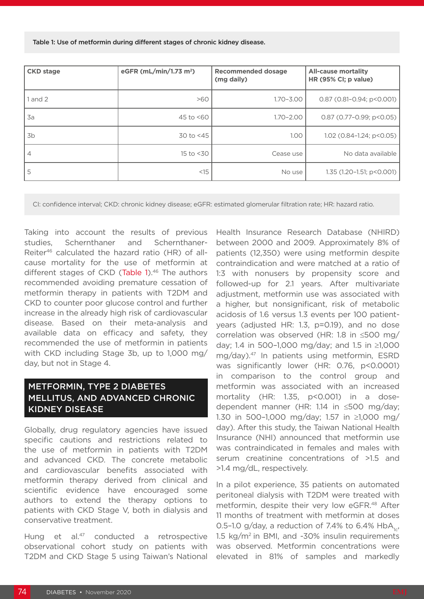| <b>CKD</b> stage | eGFR (mL/min/1.73 m <sup>2</sup> ) | <b>Recommended dosage</b><br>(mg daily) | <b>All-cause mortality</b><br>HR (95% CI; p value) |
|------------------|------------------------------------|-----------------------------------------|----------------------------------------------------|
| $1$ and $2$      | >60                                | $1.70 - 3.00$                           | $0.87$ (0.81-0.94; p<0.001)                        |
| 3a               | 45 to $< 60$                       | $1.70 - 2.00$                           | $0.87(0.77-0.99; p<0.05)$                          |
| 3b               | 30 to $<$ 45                       | 1,00                                    | $1.02$ (0.84-1.24; p<0.05)                         |
| 4                | $15$ to $<$ 30                     | Cease use                               | No data available                                  |
| 5                | <15                                | No use                                  | 1.35 $(1.20 - 1.51; p < 0.001)$                    |

Table 1: Use of metformin during different stages of chronic kidney disease.

CI: confidence interval; CKD: chronic kidney disease; eGFR: estimated glomerular filtration rate; HR: hazard ratio.

Taking into account the results of previous studies, Schernthaner and Schernthaner-Reiter46 calculated the hazard ratio (HR) of allcause mortality for the use of metformin at different stages of CKD (Table 1).<sup>46</sup> The authors recommended avoiding premature cessation of metformin therapy in patients with T2DM and CKD to counter poor glucose control and further increase in the already high risk of cardiovascular disease. Based on their meta-analysis and available data on efficacy and safety, they recommended the use of metformin in patients with CKD including Stage 3b, up to 1,000 mg/ day, but not in Stage 4.

# METFORMIN, TYPE 2 DIABETES MELLITUS, AND ADVANCED CHRONIC KIDNEY DISEASE

Globally, drug regulatory agencies have issued specific cautions and restrictions related to the use of metformin in patients with T2DM and advanced CKD. The concrete metabolic and cardiovascular benefits associated with metformin therapy derived from clinical and scientific evidence have encouraged some authors to extend the therapy options to patients with CKD Stage V, both in dialysis and conservative treatment.

Hung et al.<sup>47</sup> conducted a retrospective observational cohort study on patients with T2DM and CKD Stage 5 using Taiwan's National

Health Insurance Research Database (NHIRD) between 2000 and 2009. Approximately 8% of patients (12,350) were using metformin despite contraindication and were matched at a ratio of 1:3 with nonusers by propensity score and followed-up for 2.1 years. After multivariate adjustment, metformin use was associated with a higher, but nonsignificant, risk of metabolic acidosis of 1.6 versus 1.3 events per 100 patientyears (adjusted HR: 1.3, p=0.19), and no dose correlation was observed (HR: 1.8 in ≤500 mg/ day; 1.4 in 500–1,000 mg/day; and 1.5 in ≥1,000 mg/day).47 In patients using metformin, ESRD was significantly lower (HR: 0.76, p<0.0001) in comparison to the control group and metformin was associated with an increased mortality (HR: 1.35, p<0.001) in a dosedependent manner (HR: 1.14 in ≤500 mg/day; 1.30 in 500–1,000 mg/day; 1.57 in ≥1,000 mg/ day). After this study, the Taiwan National Health Insurance (NHI) announced that metformin use was contraindicated in females and males with serum creatinine concentrations of >1.5 and >1.4 mg/dL, respectively.

In a pilot experience, 35 patients on automated peritoneal dialysis with T2DM were treated with metformin, despite their very low eGFR.48 After 11 months of treatment with metformin at doses 0.5-1.0 g/day, a reduction of 7.4% to 6.4% HbA, 1.5 kg/m2 in BMI, and -30% insulin requirements was observed. Metformin concentrations were elevated in 81% of samples and markedly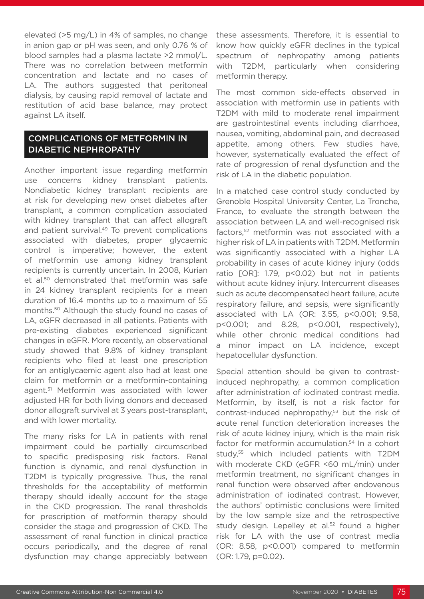elevated (>5 mg/L) in 4% of samples, no change in anion gap or pH was seen, and only 0.76 % of blood samples had a plasma lactate >2 mmol/L. There was no correlation between metformin concentration and lactate and no cases of LA. The authors suggested that peritoneal dialysis, by causing rapid removal of lactate and restitution of acid base balance, may protect against LA itself.

# COMPLICATIONS OF METFORMIN IN DIABETIC NEPHROPATHY

Another important issue regarding metformin use concerns kidney transplant patients. Nondiabetic kidney transplant recipients are at risk for developing new onset diabetes after transplant, a common complication associated with kidney transplant that can affect allograft and patient survival.<sup>49</sup> To prevent complications associated with diabetes, proper glycaemic control is imperative; however, the extent of metformin use among kidney transplant recipients is currently uncertain. In 2008, Kurian et al.50 demonstrated that metformin was safe in 24 kidney transplant recipients for a mean duration of 16.4 months up to a maximum of 55 months.50 Although the study found no cases of LA, eGFR decreased in all patients. Patients with pre-existing diabetes experienced significant changes in eGFR. More recently, an observational study showed that 9.8% of kidney transplant recipients who filed at least one prescription for an antiglycaemic agent also had at least one claim for metformin or a metformin-containing agent.51 Metformin was associated with lower adjusted HR for both living donors and deceased donor allograft survival at 3 years post-transplant, and with lower mortality.

The many risks for LA in patients with renal impairment could be partially circumscribed to specific predisposing risk factors. Renal function is dynamic, and renal dysfunction in T2DM is typically progressive. Thus, the renal thresholds for the acceptability of metformin therapy should ideally account for the stage in the CKD progression. The renal thresholds for prescription of metformin therapy should consider the stage and progression of CKD. The assessment of renal function in clinical practice occurs periodically, and the degree of renal dysfunction may change appreciably between

these assessments. Therefore, it is essential to know how quickly eGFR declines in the typical spectrum of nephropathy among patients with T2DM, particularly when considering metformin therapy.

The most common side-effects observed in association with metformin use in patients with T2DM with mild to moderate renal impairment are gastrointestinal events including diarrhoea, nausea, vomiting, abdominal pain, and decreased appetite, among others. Few studies have, however, systematically evaluated the effect of rate of progression of renal dysfunction and the risk of LA in the diabetic population.

In a matched case control study conducted by Grenoble Hospital University Center, La Tronche, France, to evaluate the strength between the association between LA and well-recognised risk factors,52 metformin was not associated with a higher risk of LA in patients with T2DM. Metformin was significantly associated with a higher LA probability in cases of acute kidney injury (odds ratio [OR]: 1.79, p<0.02) but not in patients without acute kidney injury. Intercurrent diseases such as acute decompensated heart failure, acute respiratory failure, and sepsis, were significantly associated with LA (OR: 3.55, p<0.001; 9.58, p<0.001; and 8.28, p<0.001, respectively), while other chronic medical conditions had a minor impact on LA incidence, except hepatocellular dysfunction.

Special attention should be given to contrastinduced nephropathy, a common complication after administration of iodinated contrast media. Metformin, by itself, is not a risk factor for contrast-induced nephropathy,<sup>53</sup> but the risk of acute renal function deterioration increases the risk of acute kidney injury, which is the main risk factor for metformin accumulation.<sup>54</sup> In a cohort study,55 which included patients with T2DM with moderate CKD (eGFR <60 mL/min) under metformin treatment, no significant changes in renal function were observed after endovenous administration of iodinated contrast. However, the authors' optimistic conclusions were limited by the low sample size and the retrospective study design. Lepelley et al.<sup>52</sup> found a higher risk for LA with the use of contrast media (OR: 8.58, p<0.001) compared to metformin (OR: 1.79, p=0.02).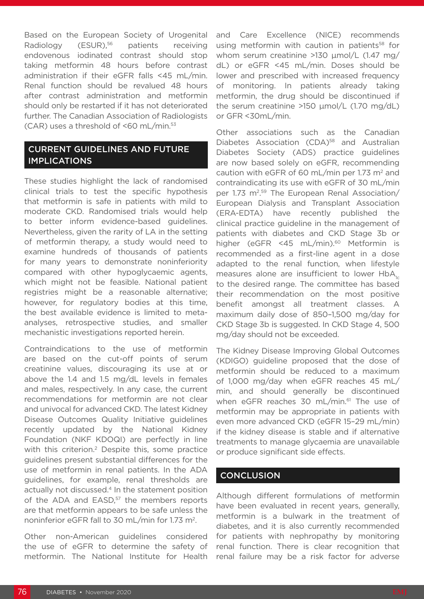Based on the European Society of Urogenital Radiology (ESUR),<sup>56</sup> patients receiving endovenous iodinated contrast should stop taking metformin 48 hours before contrast administration if their eGFR falls <45 mL/min. Renal function should be revalued 48 hours after contrast administration and metformin should only be restarted if it has not deteriorated further. The Canadian Association of Radiologists  $(CAR)$  uses a threshold of <60 mL/min.<sup>53</sup>

# CURRENT GUIDELINES AND FUTURE IMPLICATIONS

These studies highlight the lack of randomised clinical trials to test the specific hypothesis that metformin is safe in patients with mild to moderate CKD. Randomised trials would help to better inform evidence-based guidelines. Nevertheless, given the rarity of LA in the setting of metformin therapy, a study would need to examine hundreds of thousands of patients for many years to demonstrate noninferiority compared with other hypoglycaemic agents, which might not be feasible. National patient registries might be a reasonable alternative; however, for regulatory bodies at this time, the best available evidence is limited to metaanalyses, retrospective studies, and smaller mechanistic investigations reported herein.

Contraindications to the use of metformin are based on the cut-off points of serum creatinine values, discouraging its use at or above the 1.4 and 1.5 mg/dL levels in females and males, respectively. In any case, the current recommendations for metformin are not clear and univocal for advanced CKD. The latest Kidney Disease Outcomes Quality Initiative guidelines recently updated by the National Kidney Foundation (NKF KDOQI) are perfectly in line with this criterion.<sup>2</sup> Despite this, some practice guidelines present substantial differences for the use of metformin in renal patients. In the ADA guidelines, for example, renal thresholds are actually not discussed.<sup>4</sup> In the statement position of the ADA and EASD,<sup>57</sup> the members reports are that metformin appears to be safe unless the noninferior eGFR fall to 30 mL/min for 1.73 m<sup>2</sup>.

Other non-American guidelines considered the use of eGFR to determine the safety of metformin. The National Institute for Health and Care Excellence (NICE) recommends using metformin with caution in patients<sup>58</sup> for whom serum creatinine >130 μmol/L (1.47 mg/ dL) or eGFR <45 mL/min. Doses should be lower and prescribed with increased frequency of monitoring. In patients already taking metformin, the drug should be discontinued if the serum creatinine >150 μmol/L (1.70 mg/dL) or GFR <30mL/min.

Other associations such as the Canadian Diabetes Association (CDA)<sup>58</sup> and Australian Diabetes Society (ADS) practice guidelines are now based solely on eGFR, recommending caution with eGFR of 60 mL/min per 1.73  $m<sup>2</sup>$  and contraindicating its use with eGFR of 30 mL/min per 1.73 m<sup>2,59</sup> The European Renal Association/ European Dialysis and Transplant Association (ERA-EDTA) have recently published the clinical practice guideline in the management of patients with diabetes and CKD Stage 3b or higher (eGFR <45 mL/min).<sup>60</sup> Metformin is recommended as a first-line agent in a dose adapted to the renal function, when lifestyle measures alone are insufficient to lower  $HbA_{1c}$ to the desired range. The committee has based their recommendation on the most positive benefit amongst all treatment classes. A maximum daily dose of 850–1,500 mg/day for CKD Stage 3b is suggested. In CKD Stage 4, 500 mg/day should not be exceeded.

The Kidney Disease Improving Global Outcomes (KDIGO) guideline proposed that the dose of metformin should be reduced to a maximum of 1,000 mg/day when eGFR reaches 45 mL/ min, and should generally be discontinued when eGFR reaches 30 mL/min.<sup>61</sup> The use of metformin may be appropriate in patients with even more advanced CKD (eGFR 15–29 mL/min) if the kidney disease is stable and if alternative treatments to manage glycaemia are unavailable or produce significant side effects.

# **CONCLUSION**

Although different formulations of metformin have been evaluated in recent years, generally, metformin is a bulwark in the treatment of diabetes, and it is also currently recommended for patients with nephropathy by monitoring renal function. There is clear recognition that renal failure may be a risk factor for adverse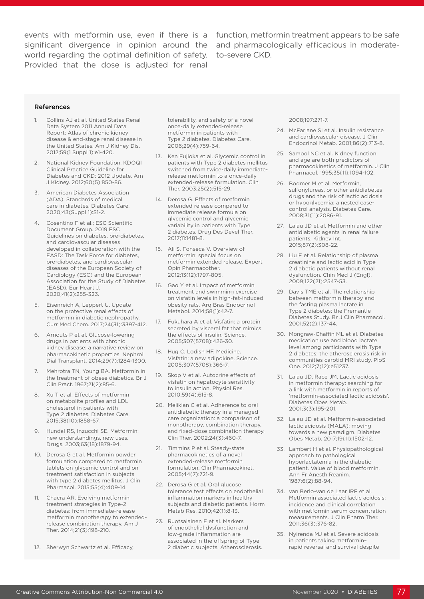events with metformin use, even if there is a function, metformin treatment appears to be safe significant divergence in opinion around the and pharmacologically efficacious in moderateworld regarding the optimal definition of safety. Provided that the dose is adjusted for renal

to-severe CKD.

#### References

- 1. Collins AJ et al. United States Renal Data System 2011 Annual Data Report: Atlas of chronic kidney disease & end-stage renal disease in the United States. Am J Kidney Dis. 2012;59(1 Suppl 1):e1-420.
- 2. National Kidney Foundation. KDOQI Clinical Practice Guideline for Diabetes and CKD: 2012 Update. Am J Kidney. 2012;60(5):850-86.
- 3. American Diabetes Association (ADA). Standards of medical care in diabetes. Diabetes Care. 2020;43(Suppl 1):S1-2.
- 4. Cosentino F et al.; ESC Scientific Document Group. 2019 ESC Guidelines on diabetes, pre-diabetes, and cardiovascular diseases developed in collaboration with the EASD: The Task Force for diabetes, pre-diabetes, and cardiovascular diseases of the European Society of Cardiology (ESC) and the European Association for the Study of Diabetes (EASD). Eur Heart J. 2020;41(2):255-323.
- 5. Eisenreich A, Leppert U. Update on the protective renal effects of metformin in diabetic nephropathy. Curr Med Chem. 2017;24(31):3397-412.
- 6. Arnouts P et al. Glucose-lowering drugs in patients with chronic kidney disease: a narrative review on pharmacokinetic properties. Nephrol Dial Transplant. 2014;29(7):1284-1300.
- 7. Mehrotra TN, Young BA. Metformin in the treatment of obese diabetics. Br J Clin Pract. 1967;21(2):85-6.
- 8. Xu T et al. Effects of metformin on metabolite profiles and LDL cholesterol in patients with Type 2 diabetes. Diabetes Care. 2015;38(10):1858-67.
- 9. Hundal RS, Inzucchi SE. Metformin: new understandings, new uses. Drugs. 2003;63(18):1879-94.
- 10. Derosa G et al. Metformin powder formulation compared to metformin tablets on glycemic control and on treatment satisfaction in subjects with type 2 diabetes mellitus. J Clin Pharmacol. 2015;55(4):409-14.
- 11. Chacra AR. Evolving metformin treatment strategies in Type-2 diabetes: from immediate-release metformin monotherapy to extendedrelease combination therapy. Am J Ther. 2014;21(3):198-210.
- 12. Sherwyn Schwartz et al. Efficacy,

tolerability, and safety of a novel once-daily extended-release metformin in patients with Type 2 diabetes. Diabetes Care. 2006;29(4):759-64.

- 13. Ken Fujioka et al. Glycemic control in patients with Type 2 diabetes mellitus switched from twice-daily immediaterelease metformin to a once-daily extended-release formulation. Clin Ther. 2003;25(2):515-29.
- 14. Derosa G. Effects of metformin extended release compared to immediate release formula on glycemic control and glycemic variability in patients with Type 2 diabetes. Drug Des Devel Ther. 2017;11:1481-8.
- 15. Ali S, Fonseca V. Overview of metformin: special focus on metformin extended release. Expert Opin Pharmacother. 2012;13(12):1797-805.
- 16. Gao Y et al. Impact of metformin treatment and swimming exercise on visfatin levels in high-fat-induced obesity rats. Arq Bras Endocrinol Metabol. 2014;58(1):42-7.
- 17. Fukuhara A et al. Visfatin: a protein secreted by visceral fat that mimics the effects of insulin. Science. 2005;307(5708):426-30.
- 18. Hug C, Lodish HF. Medicine. Visfatin: a new adipokine. Science. 2005;307(5708):366-7.
- 19. Skop V et al. Autocrine effects of visfatin on hepatocyte sensitivity to insulin action. Physiol Res. 2010;59(4):615-8.
- 20. Melikian C et al. Adherence to oral antidiabetic therapy in a managed care organization: a comparison of monotherapy, combination therapy, and fixed-dose combination therapy. Clin Ther. 2002;24(3):460-7.
- 21. Timmins P et al. Steady-state pharmacokinetics of a novel extended-release metformin formulation. Clin Pharmacokinet. 2005;44(7):721-9.
- 22. Derosa G et al. Oral glucose tolerance test effects on endothelial inflammation markers in healthy subjects and diabetic patients. Horm Metab Res. 2010;42(1):8-13.
- 23. Ruotsalainen E et al. Markers of endothelial dysfunction and low-grade inflammation are associated in the offspring of Type 2 diabetic subjects. Atherosclerosis.

#### 2008;197:271-7.

- 24. McFarlane SI et al. Insulin resistance and cardiovascular disease. J Clin Endocrinol Metab. 2001;86(2):713-8.
- 25. Sambol NC et al. Kidney function and age are both predictors of pharmacokinetics of metformin. J Clin Pharmacol. 1995;35(11):1094-102.
- 26. Bodmer M et al. Metformin, sulfonylureas, or other antidiabetes drugs and the risk of lactic acidosis or hypoglycemia: a nested casecontrol analysis. Diabetes Care. 2008;31(11):2086-91.
- 27. Lalau JD et al. Metformin and other antidiabetic agents in renal failure patients. Kidney Int. 2015;87(2):308-22.
- 28. Liu F et al. Relationship of plasma creatinine and lactic acid in Type 2 diabetic patients without renal dysfunction. Chin Med J (Engl). 2009;122(21):2547-53.
- 29. Davis TME et al. The relationship between metformin therapy and the fasting plasma lactate in Type 2 diabetes: the Fremantle Diabetes Study. Br J Clin Pharmacol. 2001;52(2):137-44.
- 30. Mongraw-Chaffin ML et al. Diabetes medication use and blood lactate level among participants with Type 2 diabetes: the atherosclerosis risk in communities carotid MRI study. PloS One. 2012;7(12):e51237.
- 31. Lalau JD, Race JM. Lactic acidosis in metformin therapy: searching for a link with metformin in reports of 'metformin-associated lactic acidosis'. Diabetes Obes Metab. 2001;3(3):195-201.
- 32. Lalau JD et al. Metformin-associated lactic acidosis (MALA): moving towards a new paradigm. Diabetes Obes Metab. 2017;19(11):1502-12.
- 33. Lambert H et al. Physiopathological approach to pathological hyperlactatemia in the diabetic patient. Value of blood metformin. Ann Fr Anesth Reanim. 1987;6(2):88-94.
- 34. van Berlo-van de Laar IRF et al. Metformin associated lactic acidosis: incidence and clinical correlation with metformin serum concentration measurements. J Clin Pharm Ther. 2011;36(3):376-82.
- 35. Nyirenda MJ et al. Severe acidosis in patients taking metformin– rapid reversal and survival despite